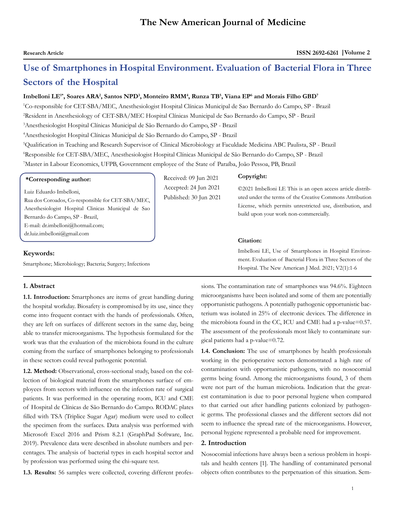## **The New American Journal of Medicine**

# **Use of Smartphones in Hospital Environment. Evaluation of Bacterial Flora in Three Sectors of the Hospital**

### $\bf I$ mbelloni  $\bf LE^{i*}$ , Soares ARA<sup>2</sup>, Santos NPD<sup>3</sup>, Monteiro RMM<sup>4</sup>, Runza  $\bf TB^{5}$ , Viana  $\bf EP^{6}$  and Morais Filho  $\bf GBD^{7}$

 Co-responsible for CET-SBA/MEC, Anesthesiologist Hospital Clínicas Municipal de Sao Bernardo do Campo, SP - Brazil Resident in Anesthesiology of CET-SBA/MEC Hospital Clínicas Municipal de Sao Bernardo do Campo, SP - Brazil Anesthesiologist Hospital Clínicas Municipal de São Bernardo do Campo, SP - Brazil Anesthesiologist Hospital Clínicas Municipal de São Bernardo do Campo, SP - Brazil

5 Qualification in Teaching and Research Supervisor of Clinical Microbiology at Faculdade Medicina ABC Paulista, SP - Brazil 6 Responsible for CET-SBA/MEC, Anesthesiologist Hospital Clínicas Municipal de São Bernardo do Campo, SP - Brazil 7 Master in Labour Economics, UFPB, Government employee of the State of Paraíba, João Pessoa, PB, Brazil

| *Corresponding author: |  |
|------------------------|--|
|------------------------|--|

Luiz Eduardo Imbelloni, Rua dos Coroados, Co-responsible for CET-SBA/MEC,

Anesthesiologist Hospital Clinicas Municipal de Sao Bernardo do Campo, SP - Brazil, E-mail: dr.imbelloni@hotmail.com; dr.luiz.imbelloni@gmail.com

#### **Keywords:**

Smartphone; Microbiology; Bacteria; Surgery; Infections

### **1. Abstract**

**1.1. Introduction:** Smartphones are items of great handling during the hospital workday. Biosafety is compromised by its use, since they come into frequent contact with the hands of professionals. Often, they are left on surfaces of different sectors in the same day, being able to transfer microorganisms. The hypothesis formulated for the work was that the evaluation of the microbiota found in the culture coming from the surface of smartphones belonging to professionals in these sectors could reveal pathogenic potential.

**1.2. Method:** Observational, cross-sectional study, based on the collection of biological material from the smartphones surface of employees from sectors with influence on the infection rate of surgical patients. It was performed in the operating room, ICU and CME of Hospital de Clínicas de São Bernardo do Campo. RODAC plates filled with TSA (Triplice Sugar Agar) medium were used to collect the specimen from the surfaces. Data analysis was performed with Microsoft Excel 2016 and Prism 8.2.1 (GraphPad Software, Inc. 2019). Prevalence data were described in absolute numbers and percentages. The analysis of bacterial types in each hospital sector and by profession was performed using the chi-square test.

**1.3. Results:** 56 samples were collected, covering different profes-

Received: 09 Jun 2021 Accepted: 24 Jun 2021 Published: 30 Jun 2021

#### **Copyright:**

©2021 Imbelloni LE This is an open access article distributed under the terms of the Creative Commons Attribution License, which permits unrestricted use, distribution, and build upon your work non-commercially.

#### **Citation:**

Imbelloni LE, Use of Smartphones in Hospital Environment. Evaluation of Bacterial Flora in Three Sectors of the Hospital. The New American J Med. 2021; V2(1):1-6

sions. The contamination rate of smartphones was 94.6%. Eighteen microorganisms have been isolated and some of them are potentially opportunistic pathogens. A potentially pathogenic opportunistic bacterium was isolated in 25% of electronic devices. The difference in the microbiota found in the CC, ICU and CME had a p-value=0.57. The assessment of the professionals most likely to contaminate surgical patients had a p-value=0.72.

**1.4. Conclusion:** The use of smartphones by health professionals working in the perioperative sectors demonstrated a high rate of contamination with opportunistic pathogens, with no nosocomial germs being found. Among the microorganisms found, 3 of them were not part of the human microbiota. Indication that the greatest contamination is due to poor personal hygiene when compared to that carried out after handling patients colonized by pathogenic germs. The professional classes and the different sectors did not seem to influence the spread rate of the microorganisms. However, personal hygiene represented a probable need for improvement.

### **2. Introduction**

Nosocomial infections have always been a serious problem in hospitals and health centers [1]. The handling of contaminated personal objects often contributes to the perpetuation of this situation. Sem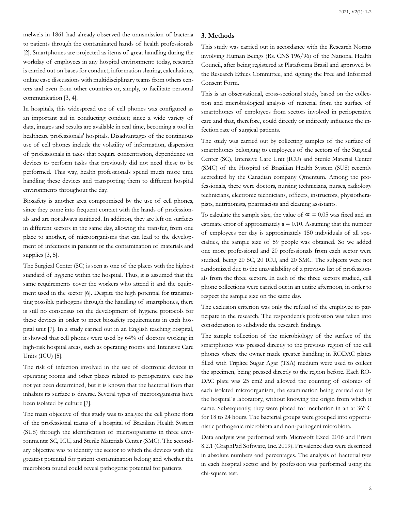melweis in 1861 had already observed the transmission of bacteria to patients through the contaminated hands of health professionals [2]. Smartphones are projected as items of great handling during the workday of employees in any hospital environment: today, research is carried out on bases for conduct, information sharing, calculations, online case discussions with multidisciplinary teams from others centers and even from other countries or, simply, to facilitate personal communication [3, 4].

In hospitals, this widespread use of cell phones was configured as an important aid in conducting conduct; since a wide variety of data, images and results are available in real time, becoming a tool in healthcare professionals' hospitals. Disadvantages of the continuous use of cell phones include the volatility of information, dispersion of professionals in tasks that require concentration, dependence on devices to perform tasks that previously did not need these to be performed. This way, health professionals spend much more time handling these devices and transporting them to different hospital environments throughout the day.

Biosafety is another area compromised by the use of cell phones, since they come into frequent contact with the hands of professionals and are not always sanitized. In addition, they are left on surfaces in different sectors in the same day, allowing the transfer, from one place to another, of microorganisms that can lead to the development of infections in patients or the contamination of materials and supplies [3, 5].

The Surgical Center (SC) is seen as one of the places with the highest standard of hygiene within the hospital. Thus, it is assumed that the same requirements cover the workers who attend it and the equipment used in the sector [6]. Despite the high potential for transmitting possible pathogens through the handling of smartphones, there is still no consensus on the development of hygiene protocols for these devices in order to meet biosafety requirements in each hospital unit [7]. In a study carried out in an English teaching hospital, it showed that cell phones were used by 64% of doctors working in high-risk hospital areas, such as operating rooms and Intensive Care Units (ICU) [5].

The risk of infection involved in the use of electronic devices in operating rooms and other places related to perioperative care has not yet been determined, but it is known that the bacterial flora that inhabits its surface is diverse. Several types of microorganisms have been isolated by culture [7].

The main objective of this study was to analyze the cell phone flora of the professional teams of a hospital of Brazilian Health System (SUS) through the identification of microorganisms in three environments: SC, ICU, and Sterile Materials Center (SMC). The secondary objective was to identify the sector to which the devices with the greatest potential for patient contamination belong and whether the microbiota found could reveal pathogenic potential for patients.

#### **3. Methods**

This study was carried out in accordance with the Research Norms involving Human Beings (Rs. CNS 196/96) of the National Health Council, after being registered at Plataforma Brasil and approved by the Research Ethics Committee, and signing the Free and Informed Consent Form.

This is an observational, cross-sectional study, based on the collection and microbiological analysis of material from the surface of smartphones of employees from sectors involved in perioperative care and that, therefore, could directly or indirectly influence the infection rate of surgical patients.

The study was carried out by collecting samples of the surface of smartphones belonging to employees of the sectors of the Surgical Center (SC), Intensive Care Unit (ICU) and Sterile Material Center (SMC) of the Hospital of Brazilian Health System (SUS) recently accredited by the Canadian company Qmentum. Among the professionals, there were doctors, nursing technicians, nurses, radiology technicians, electronic technicians, officers, instructors, physiotherapists, nutritionists, pharmacists and cleaning assistants.

To calculate the sample size, the value of  $\alpha = 0.05$  was fixed and an estimate error of approximately  $\varepsilon = 0.10$ . Assuming that the number of employees per day is approximately 150 individuals of all specialties, the sample size of 59 people was obtained. So we added one more professional and 20 professionals from each sector were studied, being 20 SC, 20 ICU, and 20 SMC. The subjects were not randomized due to the unavailability of a previous list of professionals from the three sectors. In each of the three sectors studied, cell phone collections were carried out in an entire afternoon, in order to respect the sample size on the same day.

The exclusion criterion was only the refusal of the employee to participate in the research. The respondent's profession was taken into consideration to subdivide the research findings.

The sample collection of the microbiology of the surface of the smartphones was pressed directly to the previous region of the cell phones where the owner made greater handling in RODAC plates filled with Triplice Sugar Agar (TSA) medium were used to collect the specimen, being pressed directly to the region before. Each RO-DAC plate was 25 cm2 and allowed the counting of colonies of each isolated microorganism, the examination being carried out by the hospital´s laboratory, without knowing the origin from which it came. Subsequently, they were placed for incubation in an at 36º C for 18 to 24 hours. The bacterial groups were grouped into opportunistic pathogenic microbiota and non-pathogeni microbiota.

Data analysis was performed with Microsoft Excel 2016 and Prism 8.2.1 (GraphPad Software, Inc. 2019). Prevalence data were described in absolute numbers and percentages. The analysis of bacterial tyes in each hospital sector and by profession was performed using the chi-square test.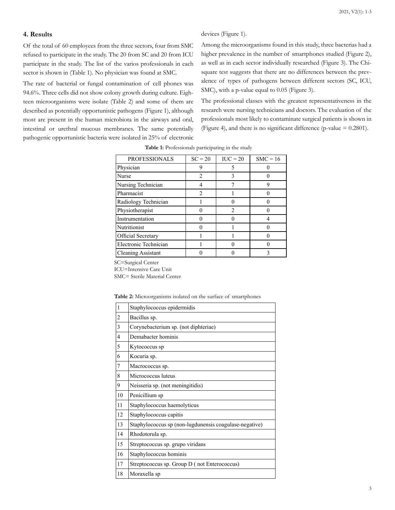#### **4. Results**

Of the total of 60 employees from the three sectors, four from SMC refused to participate in the study. The 20 from SC and 20 from ICU participate in the study. The list of the varios professionals in each sector is shown in (Table 1). No physician was found at SMC.

The rate of bacterial or fungal contamination of cell phones was 94.6%. Three cells did not show colony growth during culture. Eighteen microorganisms were isolate (Table 2) and some of them are described as potentially opportunistic pathogens (Figure 1), although most are present in the human microbiota in the airways and oral, intestinal or urethral mucous membranes. The same potentially pathogenic opportunistic bacteria were isolated in 25% of electronic

Among the microorganisms found in this study, three bacterias had a higher prevalence in the number of smartphones studied (Figure 2), as well as in each sector individually researched (Figure 3). The Chisquare test suggests that there are no differences between the prevalence of types of pathogens between different sectors (SC, ICU, SMC), with a p-value equal to 0.05 (Figure 3).

The professional classes with the greatest representativeness in the research were nursing technicians and doctors. The evaluation of the professionals most likely to contaminate surgical patients is shown in (Figure 4), and there is no significant difference (p-value  $= 0.2801$ ).

| <b>PROFESSIONALS</b>      | $SC = 20$ | $IUC = 20$ | $SMC = 16$ |
|---------------------------|-----------|------------|------------|
| Physician                 |           |            |            |
| Nurse                     | 2         | 3          |            |
| Nursing Technician        |           |            |            |
| Pharmacist                |           |            |            |
| Radiology Technician      |           |            |            |
| Physiotherapist           |           |            |            |
| Instrumentation           |           |            |            |
| Nutritionist              |           |            |            |
| Official Secretary        |           |            |            |
| Electronic Technician     |           |            |            |
| <b>Cleaning Assistant</b> |           |            |            |

**Table 1:** Professionals participating in the study

devices (Figure 1).

SC=Surgical Center

ICU=Intensive Care Unit

SMC= Sterile Material Center

| Table 2: Microorganisms isolated on the surface of smartphones |  |  |
|----------------------------------------------------------------|--|--|
|----------------------------------------------------------------|--|--|

| 1              | Staphylococcus epidermidis                             |
|----------------|--------------------------------------------------------|
| $\overline{c}$ | Bacillus sp.                                           |
| 3              | Corynebacterium sp. (not diphteriae)                   |
| $\overline{4}$ | Demabacter hominis                                     |
| 5              | Kytococcus sp                                          |
| 6              | Kocuria sp.                                            |
| 7              | Macrococcus sp.                                        |
| 8              | Micrococcus luteus                                     |
| 9              | Neisseria sp. (not meningitidis)                       |
| 10             | Penicillium sp                                         |
| 11             | Staphylococcus haemolyticus                            |
| 12             | Staphylococcus capitis                                 |
| 13             | Staphylococcus sp (non-lugdunensis coagulase-negative) |
| 14             | Rhodotorula sp.                                        |
| 15             | Streptococcus sp. grupo viridans                       |
| 16             | Staphylococcus hominis                                 |
| 17             | Streptococcus sp. Group D (not Enterococcus)           |
| 18             | Moraxella sp                                           |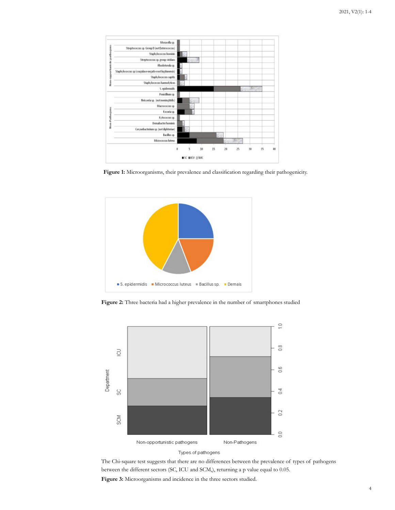

Figure 1: Microorganisms, their prevalence and classification regarding their pathogenicity.



**Figure 2:** Three bacteria had a higher prevalence in the number of smartphones studied



Types.of.pathogens

The Chi-square test suggests that there are no differences between the prevalence of types of pathogens between the different sectors (SC, ICU and SCM,), returning a p value equal to 0.05.

**Figure 3:** Microorganisms and incidence in the three sectors studied.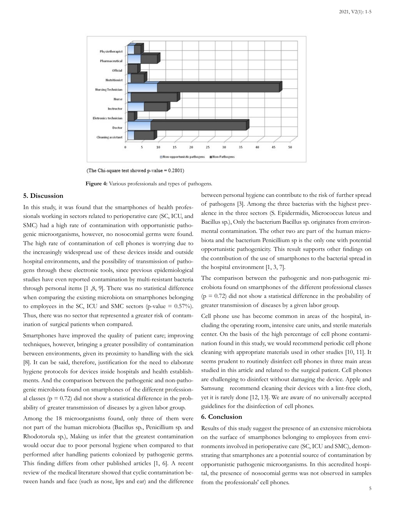

(The Chi-square test showed p-value = 0.2801)

**Figure 4:** Various professionals and types of pathogens.

#### **5. Discussion**

In this study, it was found that the smartphones of health professionals working in sectors related to perioperative care (SC, ICU, and SMC) had a high rate of contamination with opportunistic pathogenic microorganisms, however, no nosocomial germs were found. The high rate of contamination of cell phones is worrying due to the increasingly widespread use of these devices inside and outside hospital environments, and the possibility of transmission of pathogens through these electronic tools, since previous epidemiological studies have even reported contamination by multi-resistant bacteria through personal items [1 ,8, 9]. There was no statistical difference when comparing the existing microbiota on smartphones belonging to employees in the SC, ICU and SMC sectors (p-value  $= 0.57\%$ ). Thus, there was no sector that represented a greater risk of contamination of surgical patients when compared.

Smartphones have improved the quality of patient care; improving techniques, however, bringing a greater possibility of contamination between environments, given its proximity to handling with the sick [8]. It can be said, therefore, justification for the need to elaborate hygiene protocols for devices inside hospitals and health establishments. And the comparison between the pathogenic and non-pathogenic microbiota found on smartphones of the different professional classes ( $p = 0.72$ ) did not show a statistical difference in the probability of greater transmission of diseases by a given labor group.

Among the 18 microorganisms found, only three of them were not part of the human microbiota (Bacillus sp., Penicillium sp. and Rhodotorula sp.), Making us infer that the greatest contamination would occur due to poor personal hygiene when compared to that performed after handling patients colonized by pathogenic germs. This finding differs from other published articles [1, 6]. A recent review of the medical literature showed that cyclic contamination between hands and face (such as nose, lips and ear) and the difference between personal hygiene can contribute to the risk of further spread of pathogens [3]. Among the three bacterias with the highest prevalence in the three sectors (S. Epidermidis, Micrococcus luteus and Bacillus sp.), Only the bacterium Bacillus sp. originates from environmental contamination. The other two are part of the human microbiota and the bacterium Penicillium sp is the only one with potential opportunistic pathogenicity. This result supports other findings on the contribution of the use of smartphones to the bacterial spread in the hospital environment [1, 3, 7].

The comparison between the pathogenic and non-pathogenic microbiota found on smartphones of the different professional classes  $(p = 0.72)$  did not show a statistical difference in the probability of greater transmission of diseases by a given labor group.

Cell phone use has become common in areas of the hospital, including the operating room, intensive care units, and sterile materials center. On the basis of the high percentage of cell phone contamination found in this study, we would recommend periodic cell phone cleaning with appropriate materials used in other studies [10, 11]. It seems prudent to routinely disinfect cell phones in three main areas studied in this article and related to the surgical patient. Cell phones are challenging to disinfect without damaging the device. Apple and Samsung recommend cleaning their devices with a lint-free cloth, yet it is rarely done [12, 13]. We are aware of no universally accepted guidelines for the disinfection of cell phones.

#### **6. Conclusion**

Results of this study suggest the presence of an extensive microbiota on the surface of smartphones belonging to employees from environments involved in perioperative care (SC, ICU and SMC), demonstrating that smartphones are a potential source of contamination by opportunistic pathogenic microorganisms. In this accredited hospital, the presence of nosocomial germs was not observed in samples from the professionals' cell phones.